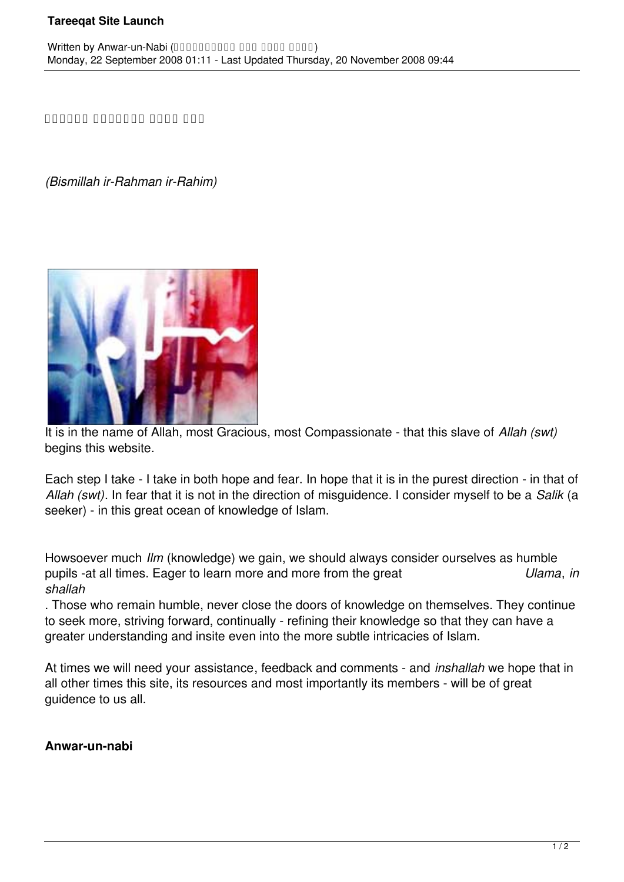## **Tareeqat Site Launch**

**بسم الله الرحمٰن الرحيم**

*(Bismillah ir-Rahman ir-Rahim)*



It is in the name of Allah, most Gracious, most Compassionate - that this slave of *Allah (swt)* begins this website.

Each step I take - I take in both hope and fear. In hope that it is in the purest direction - in that of *Allah (swt)*. In fear that it is not in the direction of misguidence. I consider myself to be a *Salik* (a seeker) - in this great ocean of knowledge of Islam.

Howsoever much *Ilm* (knowledge) we gain, we should always consider ourselves as humble pupils -at all times. Eager to learn more and more from the great *Ulama*, *in shallah*

. Those who remain humble, never close the doors of knowledge on themselves. They continue to seek more, striving forward, continually - refining their knowledge so that they can have a greater understanding and insite even into the more subtle intricacies of Islam.

At times we will need your assistance, feedback and comments - and *inshallah* we hope that in all other times this site, its resources and most importantly its members - will be of great guidence to us all.

## **Anwar-un-nabi**